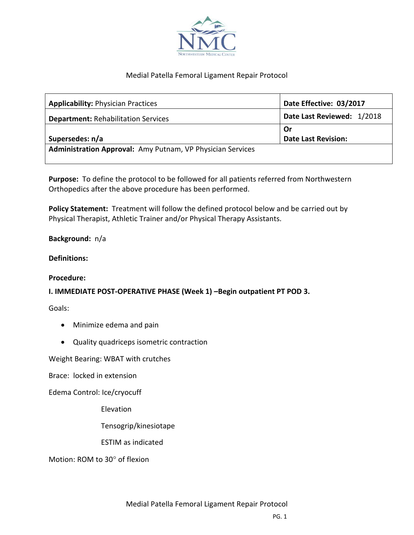

## Medial Patella Femoral Ligament Repair Protocol

| <b>Applicability: Physician Practices</b>                  | Date Effective: 03/2017    |
|------------------------------------------------------------|----------------------------|
| <b>Department: Rehabilitation Services</b>                 | Date Last Reviewed: 1/2018 |
|                                                            | Or                         |
| Supersedes: n/a                                            | <b>Date Last Revision:</b> |
| Administration Approval: Amy Putnam, VP Physician Services |                            |
|                                                            |                            |

**Purpose:** To define the protocol to be followed for all patients referred from Northwestern Orthopedics after the above procedure has been performed.

**Policy Statement:** Treatment will follow the defined protocol below and be carried out by Physical Therapist, Athletic Trainer and/or Physical Therapy Assistants.

## **Background:** n/a

#### **Definitions:**

#### **Procedure:**

# **I. IMMEDIATE POST-OPERATIVE PHASE (Week 1) –Begin outpatient PT POD 3.**

Goals:

- Minimize edema and pain
- Quality quadriceps isometric contraction

Weight Bearing: WBAT with crutches

Brace: locked in extension

Edema Control: Ice/cryocuff

Elevation

Tensogrip/kinesiotape

ESTIM as indicated

Motion: ROM to 30° of flexion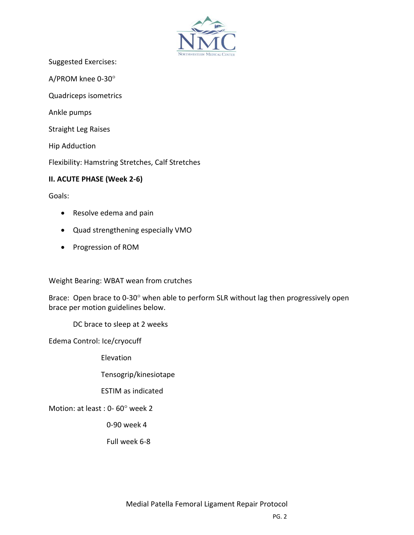

Suggested Exercises:

A/PROM knee 0-30

Quadriceps isometrics

Ankle pumps

Straight Leg Raises

Hip Adduction

Flexibility: Hamstring Stretches, Calf Stretches

## **II. ACUTE PHASE (Week 2-6)**

Goals:

- Resolve edema and pain
- Quad strengthening especially VMO
- Progression of ROM

Weight Bearing: WBAT wean from crutches

Brace: Open brace to 0-30° when able to perform SLR without lag then progressively open brace per motion guidelines below.

DC brace to sleep at 2 weeks

Edema Control: Ice/cryocuff

Elevation

Tensogrip/kinesiotape

ESTIM as indicated

Motion: at least :  $0 - 60^\circ$  week 2

0-90 week 4

Full week 6-8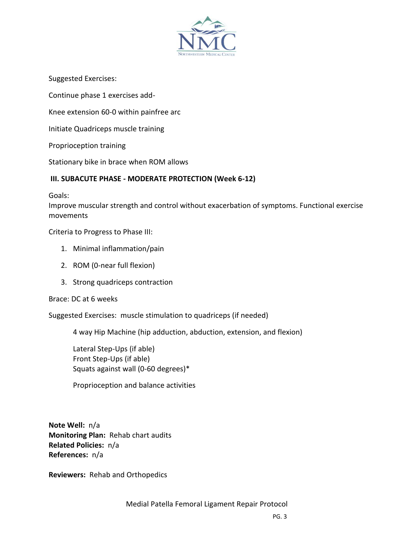

Suggested Exercises:

Continue phase 1 exercises add-

Knee extension 60-0 within painfree arc

Initiate Quadriceps muscle training

Proprioception training

Stationary bike in brace when ROM allows

# **III. SUBACUTE PHASE - MODERATE PROTECTION (Week 6-12)**

Goals:

Improve muscular strength and control without exacerbation of symptoms. Functional exercise movements

Criteria to Progress to Phase III:

- 1. Minimal inflammation/pain
- 2. ROM (0-near full flexion)
- 3. Strong quadriceps contraction

Brace: DC at 6 weeks

Suggested Exercises: muscle stimulation to quadriceps (if needed)

4 way Hip Machine (hip adduction, abduction, extension, and flexion)

Lateral Step-Ups (if able) Front Step-Ups (if able) Squats against wall (0-60 degrees)\*

Proprioception and balance activities

**Note Well:** n/a **Monitoring Plan:** Rehab chart audits **Related Policies:** n/a **References:** n/a

**Reviewers:** Rehab and Orthopedics